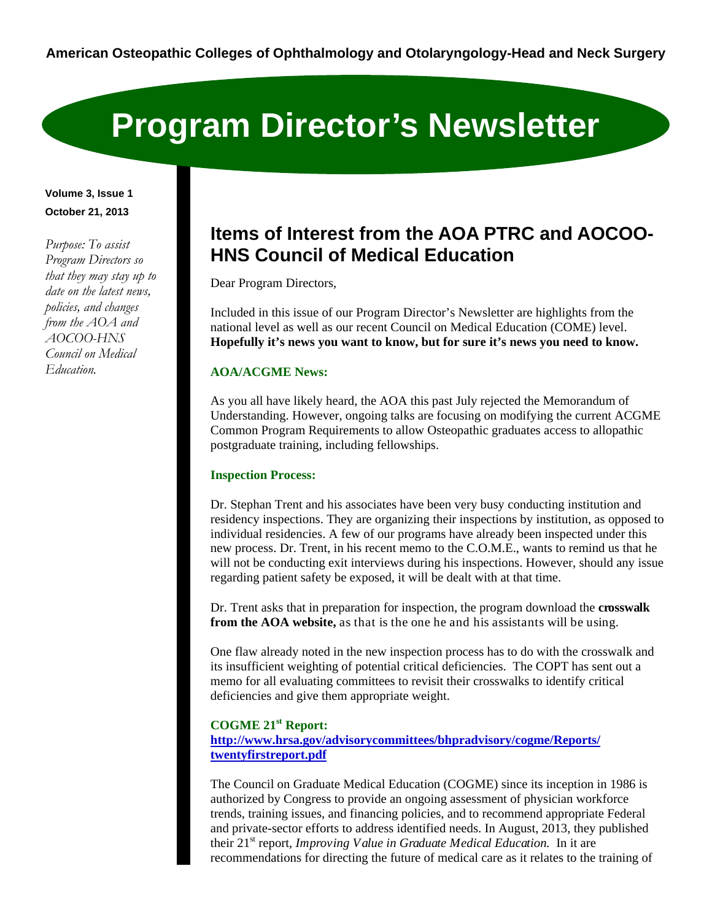# **Program Director's Newsletter**

**Volume 3, Issue 1 October 21, 2013** 

*Purpose: To assist Program Directors so that they may stay up to date on the latest news, policies, and changes from the AOA and AOCOO-HNS Council on Medical Education.* 

# **Items of Interest from the AOA PTRC and AOCOO-HNS Council of Medical Education**

Dear Program Directors,

Included in this issue of our Program Director's Newsletter are highlights from the national level as well as our recent Council on Medical Education (COME) level. **Hopefully it's news you want to know, but for sure it's news you need to know.**

# **AOA/ACGME News:**

As you all have likely heard, the AOA this past July rejected the Memorandum of Understanding. However, ongoing talks are focusing on modifying the current ACGME Common Program Requirements to allow Osteopathic graduates access to allopathic postgraduate training, including fellowships.

# **Inspection Process:**

Dr. Stephan Trent and his associates have been very busy conducting institution and residency inspections. They are organizing their inspections by institution, as opposed to individual residencies. A few of our programs have already been inspected under this new process. Dr. Trent, in his recent memo to the C.O.M.E., wants to remind us that he will not be conducting exit interviews during his inspections. However, should any issue regarding patient safety be exposed, it will be dealt with at that time.

Dr. Trent asks that in preparation for inspection, the program download the **crosswalk from the AOA website,** as that is the one he and his assistants will be using.

One flaw already noted in the new inspection process has to do with the crosswalk and its insufficient weighting of potential critical deficiencies. The COPT has sent out a memo for all evaluating committees to revisit their crosswalks to identify critical deficiencies and give them appropriate weight.

# **COGME 21st Report: http://www.hrsa.gov/advisorycommittees/bhpradvisory/cogme/Reports/ twentyfirstreport.pdf**

The Council on Graduate Medical Education (COGME) since its inception in 1986 is authorized by Congress to provide an ongoing assessment of physician workforce trends, training issues, and financing policies, and to recommend appropriate Federal and private-sector efforts to address identified needs. In August, 2013, they published their 21st report, *Improving Value in Graduate Medical Education.* In it are recommendations for directing the future of medical care as it relates to the training of